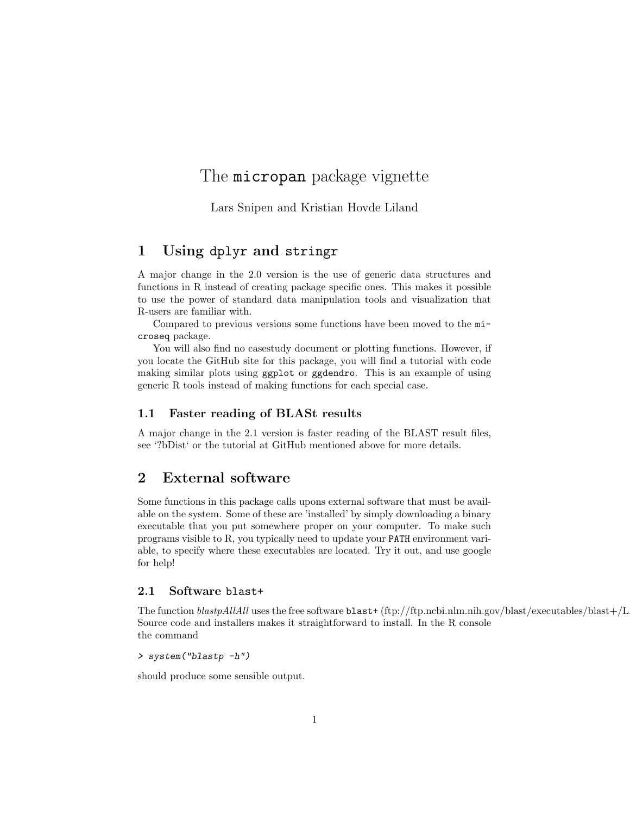# The **micropan** package vignette

Lars Snipen and Kristian Hovde Liland

# 1 Using dplyr and stringr

A major change in the 2.0 version is the use of generic data structures and functions in R instead of creating package specific ones. This makes it possible to use the power of standard data manipulation tools and visualization that R-users are familiar with.

Compared to previous versions some functions have been moved to the microseq package.

You will also find no casestudy document or plotting functions. However, if you locate the GitHub site for this package, you will find a tutorial with code making similar plots using ggplot or ggdendro. This is an example of using generic R tools instead of making functions for each special case.

### 1.1 Faster reading of BLASt results

A major change in the 2.1 version is faster reading of the BLAST result files, see '?bDist' or the tutorial at GitHub mentioned above for more details.

## 2 External software

Some functions in this package calls upons external software that must be available on the system. Some of these are 'installed' by simply downloading a binary executable that you put somewhere proper on your computer. To make such programs visible to R, you typically need to update your PATH environment variable, to specify where these executables are located. Try it out, and use google for help!

### 2.1 Software blast+

The function  $blastpAllAll$  uses the free software  $blast+(ftp://ftp.ncbi.nlm.nih.gov/blast/executables/blast+/L)$ Source code and installers makes it straightforward to install. In the R console the command

### > system("blastp -h")

should produce some sensible output.